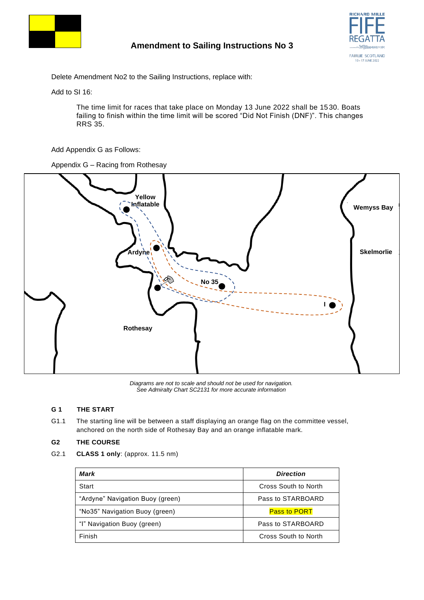

# **Amendment to Sailing Instructions No 3**



Delete Amendment No2 to the Sailing Instructions, replace with:

Add to SI 16:

The time limit for races that take place on Monday 13 June 2022 shall be 1530. Boats failing to finish within the time limit will be scored "Did Not Finish (DNF)". This changes RRS 35.

Add Appendix G as Follows:

Appendix G – Racing from Rothesay



*Diagrams are not to scale and should not be used for navigation. See Admiralty Chart SC2131 for more accurate information*

#### **G 1 THE START**

G1.1 The starting line will be between a staff displaying an orange flag on the committee vessel, anchored on the north side of Rothesay Bay and an orange inflatable mark.

#### **G2 THE COURSE**

G2.1 **CLASS 1 only**: (approx. 11.5 nm)

| Mark                             | <b>Direction</b>            |
|----------------------------------|-----------------------------|
| Start                            | Cross South to North        |
| "Ardyne" Navigation Buoy (green) | Pass to STARBOARD           |
| "No35" Navigation Buoy (green)   | <b>Pass to PORT</b>         |
| "I" Navigation Buoy (green)      | Pass to STARBOARD           |
| Finish                           | <b>Cross South to North</b> |